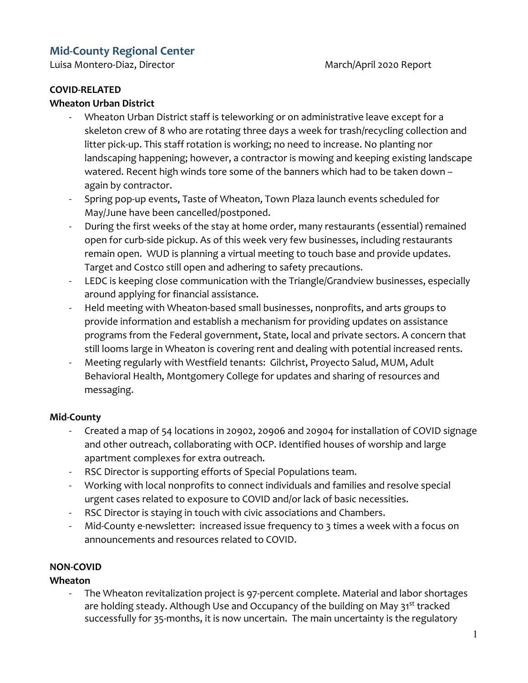# **Mid-County Regional Center**

Luisa Montero-Diaz, Director **March/April 2020** Report

#### **COVID-RELATED**

#### **Wheaton Urban District**

- Wheaton Urban District staff is teleworking or on administrative leave except for a skeleton crew of 8 who are rotating three days a week for trash/recycling collection and litter pick-up. This staff rotation is working; no need to increase. No planting nor landscaping happening; however, a contractor is mowing and keeping existing landscape watered. Recent high winds tore some of the banners which had to be taken down – again by contractor.
- Spring pop-up events, Taste of Wheaton, Town Plaza launch events scheduled for May/June have been cancelled/postponed.
- During the first weeks of the stay at home order, many restaurants (essential) remained open for curb-side pickup. As of this week very few businesses, including restaurants remain open. WUD is planning a virtual meeting to touch base and provide updates. Target and Costco still open and adhering to safety precautions.
- LEDC is keeping close communication with the Triangle/Grandview businesses, especially around applying for financial assistance.
- Held meeting with Wheaton-based small businesses, nonprofits, and arts groups to provide information and establish a mechanism for providing updates on assistance programs from the Federal government, State, local and private sectors. A concern that still looms large in Wheaton is covering rent and dealing with potential increased rents.
- Meeting regularly with Westfield tenants: Gilchrist, Proyecto Salud, MUM, Adult Behavioral Health, Montgomery College for updates and sharing of resources and messaging.

## **Mid-County**

- Created a map of 54 locations in 20902, 20906 and 20904 for installation of COVID signage and other outreach, collaborating with OCP. Identified houses of worship and large apartment complexes for extra outreach.
- RSC Director is supporting efforts of Special Populations team.
- Working with local nonprofits to connect individuals and families and resolve special urgent cases related to exposure to COVID and/or lack of basic necessities.
- RSC Director is staying in touch with civic associations and Chambers.
- Mid-County e-newsletter: increased issue frequency to 3 times a week with a focus on announcements and resources related to COVID.

#### **NON-COVID**

**Wheaton**

- The Wheaton revitalization project is 97-percent complete. Material and labor shortages are holding steady. Although Use and Occupancy of the building on May 31<sup>st</sup> tracked successfully for 35-months, it is now uncertain. The main uncertainty is the regulatory